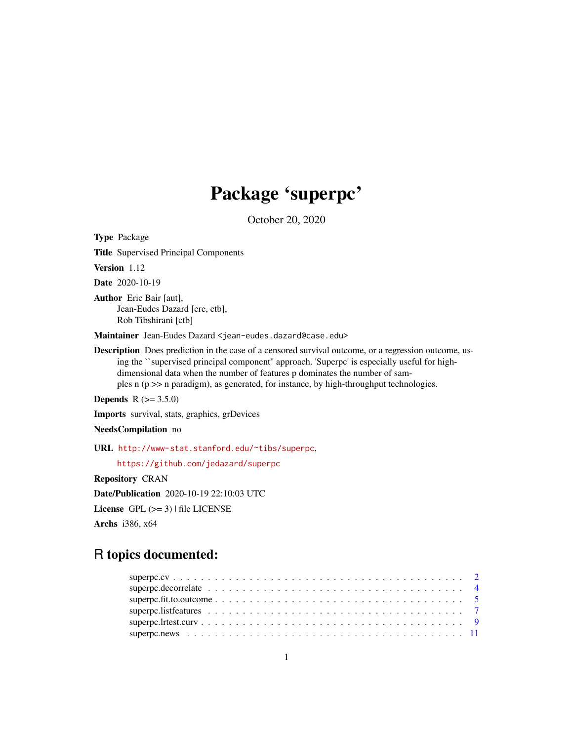# Package 'superpc'

October 20, 2020

Type Package

Title Supervised Principal Components

Version 1.12

Date 2020-10-19

Author Eric Bair [aut], Jean-Eudes Dazard [cre, ctb], Rob Tibshirani [ctb]

Maintainer Jean-Eudes Dazard <jean-eudes.dazard@case.edu>

Description Does prediction in the case of a censored survival outcome, or a regression outcome, using the ``supervised principal component'' approach. 'Superpc' is especially useful for highdimensional data when the number of features p dominates the number of samples n (p >> n paradigm), as generated, for instance, by high-throughput technologies.

**Depends** R  $(>= 3.5.0)$ 

Imports survival, stats, graphics, grDevices

NeedsCompilation no

URL <http://www-stat.stanford.edu/~tibs/superpc>,

<https://github.com/jedazard/superpc>

Repository CRAN

Date/Publication 2020-10-19 22:10:03 UTC

License GPL  $(>= 3)$  | file LICENSE

Archs i386, x64

# R topics documented: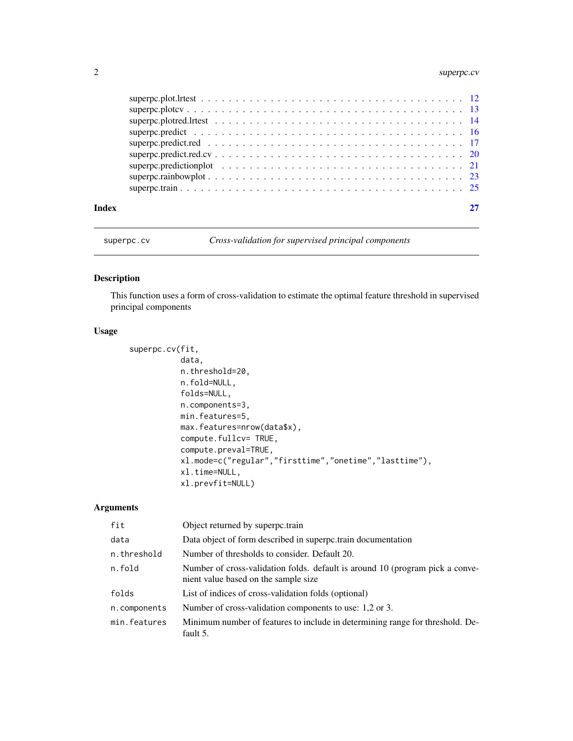# <span id="page-1-0"></span>2 superpc.cv

| Index |  |
|-------|--|
|       |  |
|       |  |
|       |  |
|       |  |
|       |  |
|       |  |
|       |  |
|       |  |
|       |  |

superpc.cv *Cross-validation for supervised principal components*

# Description

This function uses a form of cross-validation to estimate the optimal feature threshold in supervised principal components

#### Usage

```
superpc.cv(fit,
           data,
           n.threshold=20,
           n.fold=NULL,
           folds=NULL,
           n.components=3,
           min.features=5,
           max.features=nrow(data$x),
           compute.fullcv= TRUE,
           compute.preval=TRUE,
           xl.mode=c("regular","firsttime","onetime","lasttime"),
           xl.time=NULL,
           xl.prevfit=NULL)
```
# Arguments

| fit          | Object returned by superpc.train                                                                                      |
|--------------|-----------------------------------------------------------------------------------------------------------------------|
| data         | Data object of form described in superpc.train documentation                                                          |
| n.threshold  | Number of thresholds to consider. Default 20.                                                                         |
| n.fold       | Number of cross-validation folds. default is around 10 (program pick a conve-<br>nient value based on the sample size |
| folds        | List of indices of cross-validation folds (optional)                                                                  |
| n.components | Number of cross-validation components to use: 1,2 or 3.                                                               |
| min.features | Minimum number of features to include in determining range for threshold. De-<br>fault 5.                             |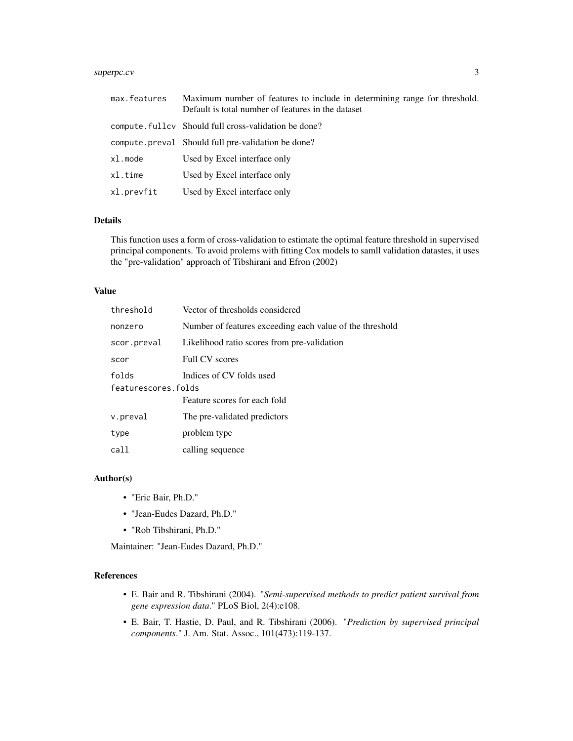# superpc.cv 3

| max.features | Maximum number of features to include in determining range for threshold.<br>Default is total number of features in the dataset |
|--------------|---------------------------------------------------------------------------------------------------------------------------------|
|              | compute fulley Should full cross-validation be done?                                                                            |
|              | compute preval Should full pre-validation be done?                                                                              |
| xl.mode      | Used by Excel interface only                                                                                                    |
| x1.time      | Used by Excel interface only                                                                                                    |
| xl.prevfit   | Used by Excel interface only                                                                                                    |

### Details

This function uses a form of cross-validation to estimate the optimal feature threshold in supervised principal components. To avoid prolems with fitting Cox models to samll validation datastes, it uses the "pre-validation" approach of Tibshirani and Efron (2002)

#### Value

| threshold           | Vector of thresholds considered                          |
|---------------------|----------------------------------------------------------|
| nonzero             | Number of features exceeding each value of the threshold |
| scor.preval         | Likelihood ratio scores from pre-validation              |
| scor                | <b>Full CV</b> scores                                    |
| folds               | Indices of CV folds used                                 |
| featurescores.folds |                                                          |
|                     | Feature scores for each fold                             |
| v.preval            | The pre-validated predictors                             |
| type                | problem type                                             |
| call                | calling sequence                                         |
|                     |                                                          |

# Author(s)

- "Eric Bair, Ph.D."
- "Jean-Eudes Dazard, Ph.D."
- "Rob Tibshirani, Ph.D."

Maintainer: "Jean-Eudes Dazard, Ph.D."

# References

- E. Bair and R. Tibshirani (2004). "*Semi-supervised methods to predict patient survival from gene expression data*." PLoS Biol, 2(4):e108.
- E. Bair, T. Hastie, D. Paul, and R. Tibshirani (2006). "*Prediction by supervised principal components*." J. Am. Stat. Assoc., 101(473):119-137.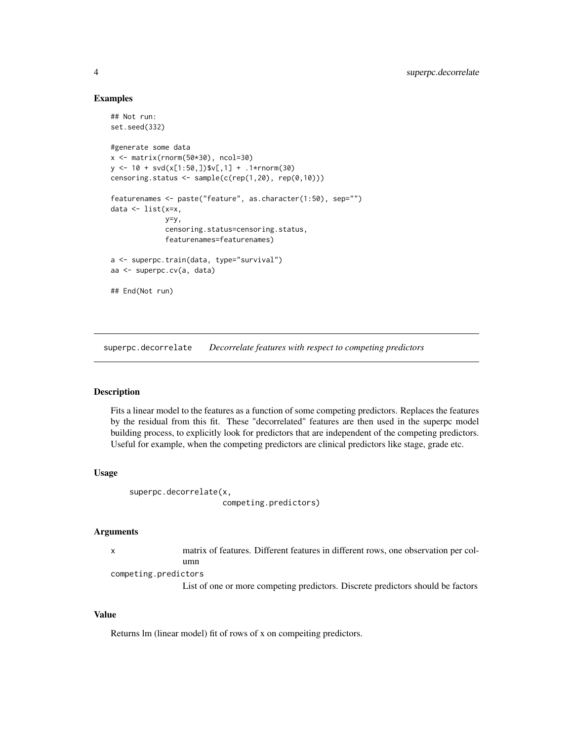#### Examples

```
## Not run:
set.seed(332)
#generate some data
x \leftarrow \text{matrix}(rnorm(50*30), ncol=30)y \le -10 + \text{svd}(x[1:50,])$v[,1] + .1*rnorm(30)
censoring.status <- sample(c(rep(1,20), rep(0,10)))
featurenames <- paste("feature", as.character(1:50), sep="")
data \leq list(x=x,
              y=y,
              censoring.status=censoring.status,
              featurenames=featurenames)
a <- superpc.train(data, type="survival")
aa <- superpc.cv(a, data)
## End(Not run)
```
superpc.decorrelate *Decorrelate features with respect to competing predictors*

# Description

Fits a linear model to the features as a function of some competing predictors. Replaces the features by the residual from this fit. These "decorrelated" features are then used in the superpc model building process, to explicitly look for predictors that are independent of the competing predictors. Useful for example, when the competing predictors are clinical predictors like stage, grade etc.

# Usage

```
superpc.decorrelate(x,
                    competing.predictors)
```
#### Arguments

|                      | matrix of features. Different features in different rows, one observation per col- |  |  |  |  |
|----------------------|------------------------------------------------------------------------------------|--|--|--|--|
|                      | umn                                                                                |  |  |  |  |
| competing.predictors |                                                                                    |  |  |  |  |
|                      |                                                                                    |  |  |  |  |

List of one or more competing predictors. Discrete predictors should be factors

#### Value

Returns lm (linear model) fit of rows of x on compeiting predictors.

<span id="page-3-0"></span>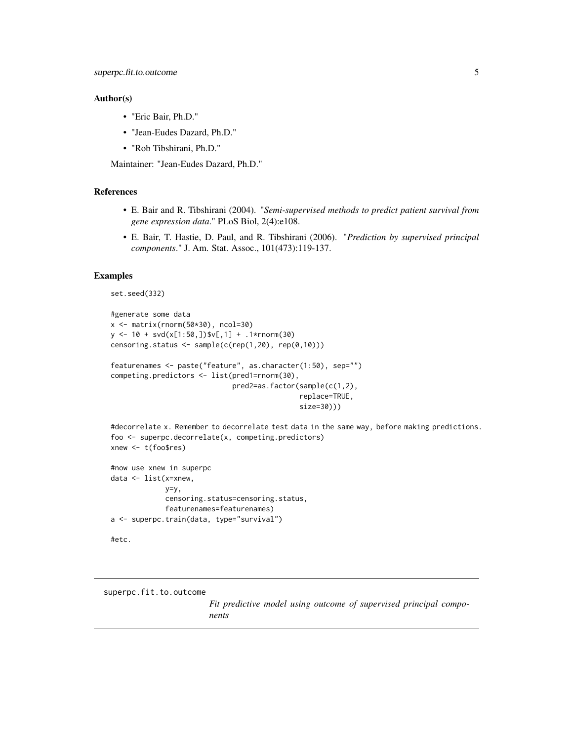#### <span id="page-4-0"></span>Author(s)

- "Eric Bair, Ph.D."
- "Jean-Eudes Dazard, Ph.D."
- "Rob Tibshirani, Ph.D."

Maintainer: "Jean-Eudes Dazard, Ph.D."

#### References

- E. Bair and R. Tibshirani (2004). "*Semi-supervised methods to predict patient survival from gene expression data*." PLoS Biol, 2(4):e108.
- E. Bair, T. Hastie, D. Paul, and R. Tibshirani (2006). "*Prediction by supervised principal components*." J. Am. Stat. Assoc., 101(473):119-137.

#### Examples

```
set.seed(332)
```

```
#generate some data
x <- matrix(rnorm(50*30), ncol=30)
y <- 10 + svd(x[1:50,])$v[,1] + .1*rnorm(30)
censoring.status <- sample(c(rep(1,20), rep(0,10)))
featurenames <- paste("feature", as.character(1:50), sep="")
competing.predictors <- list(pred1=rnorm(30),
                             pred2=as.factor(sample(c(1,2),
                                             replace=TRUE,
```

```
size=30)))
```

```
#decorrelate x. Remember to decorrelate test data in the same way, before making predictions.
foo <- superpc.decorrelate(x, competing.predictors)
xnew <- t(foo$res)
```

```
#now use xnew in superpc
data <- list(x=xnew,
             y=y,
             censoring.status=censoring.status,
             featurenames=featurenames)
a <- superpc.train(data, type="survival")
```

```
#etc.
```
superpc.fit.to.outcome

*Fit predictive model using outcome of supervised principal components*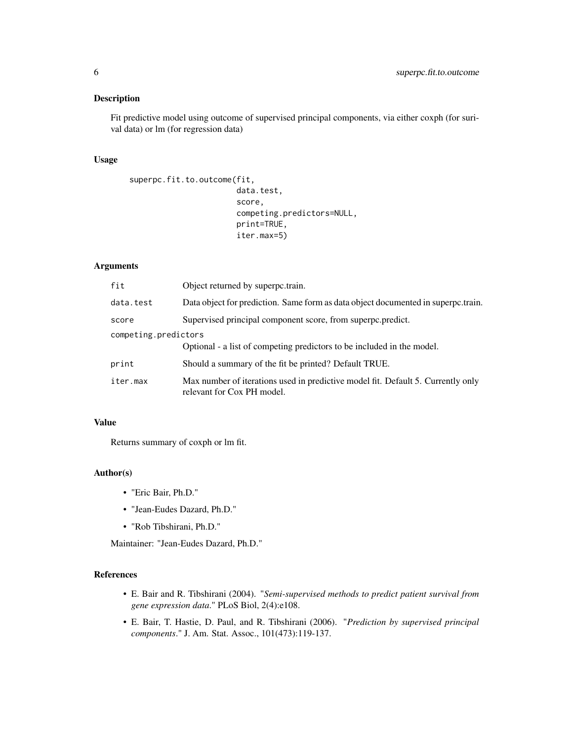# Description

Fit predictive model using outcome of supervised principal components, via either coxph (for surival data) or lm (for regression data)

# Usage

```
superpc.fit.to.outcome(fit,
                        data.test,
                        score,
                        competing.predictors=NULL,
                        print=TRUE,
                        iter.max=5)
```
# Arguments

| fit                  | Object returned by superpc.train.                                                                              |
|----------------------|----------------------------------------------------------------------------------------------------------------|
| data.test            | Data object for prediction. Same form as data object documented in superportrain.                              |
| score                | Supervised principal component score, from superpc.predict.                                                    |
| competing.predictors |                                                                                                                |
|                      | Optional - a list of competing predictors to be included in the model.                                         |
| print                | Should a summary of the fit be printed? Default TRUE.                                                          |
| iter.max             | Max number of iterations used in predictive model fit. Default 5. Currently only<br>relevant for Cox PH model. |

#### Value

Returns summary of coxph or lm fit.

# Author(s)

- "Eric Bair, Ph.D."
- "Jean-Eudes Dazard, Ph.D."
- "Rob Tibshirani, Ph.D."

Maintainer: "Jean-Eudes Dazard, Ph.D."

# References

- E. Bair and R. Tibshirani (2004). "*Semi-supervised methods to predict patient survival from gene expression data*." PLoS Biol, 2(4):e108.
- E. Bair, T. Hastie, D. Paul, and R. Tibshirani (2006). "*Prediction by supervised principal components*." J. Am. Stat. Assoc., 101(473):119-137.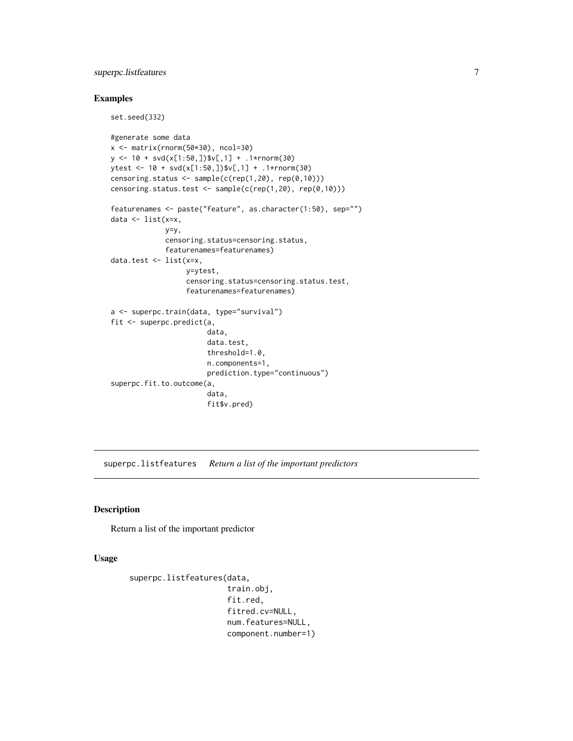# <span id="page-6-0"></span>superpc.listfeatures 7

set.seed(332)

# Examples

```
#generate some data
x <- matrix(rnorm(50*30), ncol=30)
y \le -10 + \text{svd}(x[1:50,])$v[,1] + .1*rnorm(30)
ytest <- 10 + svd(x[1:50,])$v[,1] + .1*rnorm(30)
censoring.status <- sample(c(rep(1,20), rep(0,10)))
censoring.status.test <- sample(c(rep(1,20), rep(0,10)))
featurenames <- paste("feature", as.character(1:50), sep="")
data <- list(x=x,
             y=y,
             censoring.status=censoring.status,
             featurenames=featurenames)
data.test <- list(x=x,
                  y=ytest,
                  censoring.status=censoring.status.test,
                  featurenames=featurenames)
a <- superpc.train(data, type="survival")
fit <- superpc.predict(a,
                       data,
                       data.test,
                       threshold=1.0,
                       n.components=1,
                       prediction.type="continuous")
superpc.fit.to.outcome(a,
                       data,
                       fit$v.pred)
```
superpc.listfeatures *Return a list of the important predictors*

# Description

Return a list of the important predictor

#### Usage

```
superpc.listfeatures(data,
                      train.obj,
                      fit.red,
                      fitred.cv=NULL,
                      num.features=NULL,
                      component.number=1)
```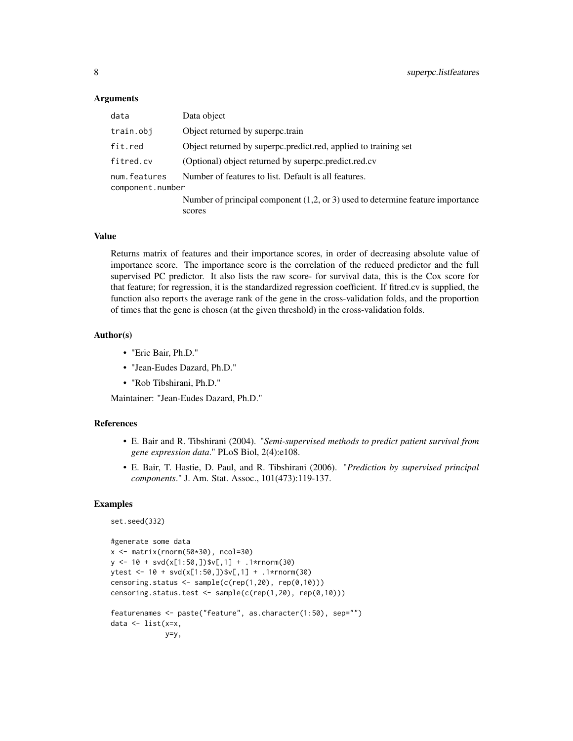#### Arguments

| data                             | Data object                                                                                |
|----------------------------------|--------------------------------------------------------------------------------------------|
| train.obj                        | Object returned by superpc.train                                                           |
| fit.red                          | Object returned by superpc.predict.red, applied to training set                            |
| fitred.cv                        | (Optional) object returned by superpc.predict.red.cv                                       |
| num.features<br>component.number | Number of features to list. Default is all features.                                       |
|                                  | Number of principal component $(1,2,$ or 3) used to determine feature importance<br>scores |

#### Value

Returns matrix of features and their importance scores, in order of decreasing absolute value of importance score. The importance score is the correlation of the reduced predictor and the full supervised PC predictor. It also lists the raw score- for survival data, this is the Cox score for that feature; for regression, it is the standardized regression coefficient. If fitred.cv is supplied, the function also reports the average rank of the gene in the cross-validation folds, and the proportion of times that the gene is chosen (at the given threshold) in the cross-validation folds.

#### Author(s)

- "Eric Bair, Ph.D."
- "Jean-Eudes Dazard, Ph.D."
- "Rob Tibshirani, Ph.D."

Maintainer: "Jean-Eudes Dazard, Ph.D."

# References

- E. Bair and R. Tibshirani (2004). "*Semi-supervised methods to predict patient survival from gene expression data*." PLoS Biol, 2(4):e108.
- E. Bair, T. Hastie, D. Paul, and R. Tibshirani (2006). "*Prediction by supervised principal components*." J. Am. Stat. Assoc., 101(473):119-137.

### Examples

set.seed(332)

```
#generate some data
x <- matrix(rnorm(50*30), ncol=30)
y \le -10 + \text{svd}(x[1:50,])$v[,1] + .1*rnorm(30)
ytest <- 10 + svd(x[1:50,])$v[,1] + .1*rnorm(30)
censoring.status <- sample(c(rep(1,20), rep(0,10)))
censoring.status.test <- sample(c(rep(1,20), rep(0,10)))
featurenames <- paste("feature", as.character(1:50), sep="")
data <- list(x=x,
             y=y,
```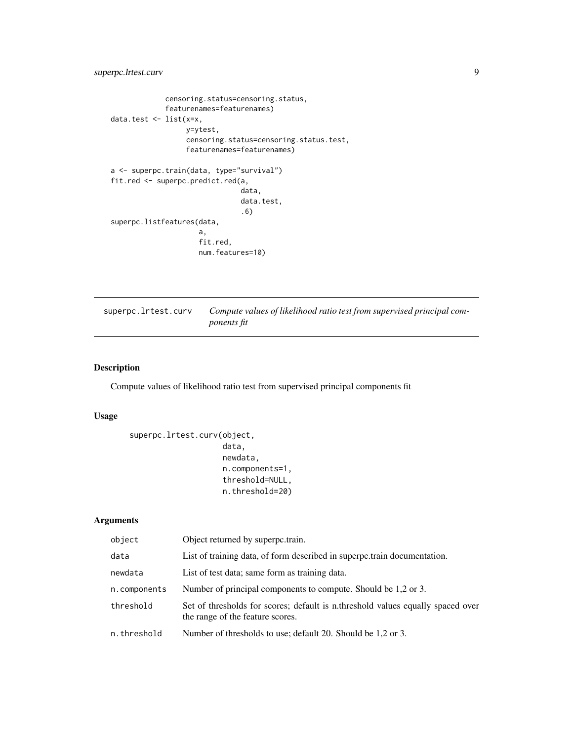```
censoring.status=censoring.status,
             featurenames=featurenames)
data.test <- list(x=x,
                  y=ytest,
                  censoring.status=censoring.status.test,
                  featurenames=featurenames)
a <- superpc.train(data, type="survival")
fit.red <- superpc.predict.red(a,
                               data,
                               data.test,
                               .6)
superpc.listfeatures(data,
                     a,
                     fit.red,
                     num.features=10)
```

| superpc.lrtest.curv | Compute values of likelihood ratio test from supervised principal com- |
|---------------------|------------------------------------------------------------------------|
|                     | <i>ponents fit</i>                                                     |

# Description

Compute values of likelihood ratio test from supervised principal components fit

# Usage

```
superpc.lrtest.curv(object,
                    data,
```

```
newdata,
n.components=1,
threshold=NULL,
n.threshold=20)
```
# Arguments

| object       | Object returned by superpc.train.                                                                                   |
|--------------|---------------------------------------------------------------------------------------------------------------------|
| data         | List of training data, of form described in superportrain documentation.                                            |
| newdata      | List of test data; same form as training data.                                                                      |
| n.components | Number of principal components to compute. Should be 1,2 or 3.                                                      |
| threshold    | Set of thresholds for scores; default is n.threshold values equally spaced over<br>the range of the feature scores. |
| n.threshold  | Number of thresholds to use; default 20. Should be 1,2 or 3.                                                        |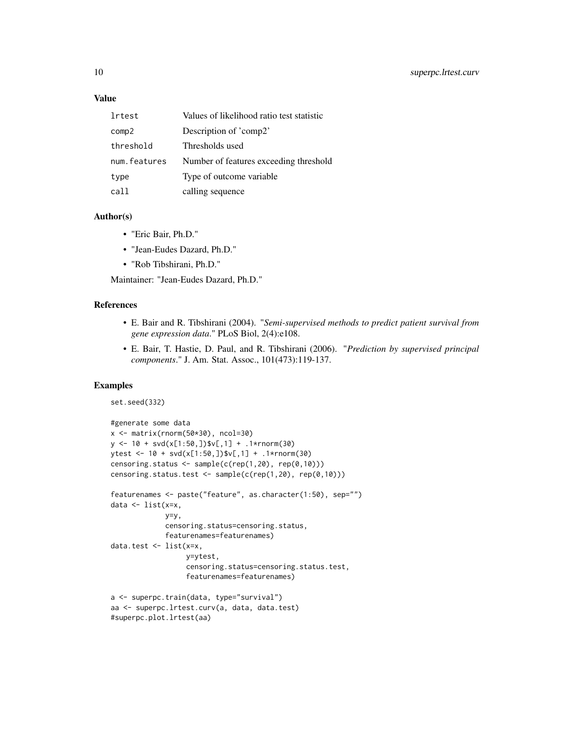#### Value

| lrtest       | Values of likelihood ratio test statistic |
|--------------|-------------------------------------------|
| comp2        | Description of 'comp2'                    |
| threshold    | Thresholds used                           |
| num.features | Number of features exceeding threshold    |
| type         | Type of outcome variable.                 |
| call         | calling sequence                          |

#### Author(s)

- "Eric Bair, Ph.D."
- "Jean-Eudes Dazard, Ph.D."
- "Rob Tibshirani, Ph.D."

Maintainer: "Jean-Eudes Dazard, Ph.D."

# References

- E. Bair and R. Tibshirani (2004). "*Semi-supervised methods to predict patient survival from gene expression data*." PLoS Biol, 2(4):e108.
- E. Bair, T. Hastie, D. Paul, and R. Tibshirani (2006). "*Prediction by supervised principal components*." J. Am. Stat. Assoc., 101(473):119-137.

# Examples

set.seed(332)

```
#generate some data
x <- matrix(rnorm(50*30), ncol=30)
y <- 10 + svd(x[1:50,])$v[,1] + .1*rnorm(30)
ytest <- 10 + svd(x[1:50,])$v[,1] + .1*rnorm(30)
censoring.status <- sample(c(rep(1,20), rep(0,10)))
censoring.status.test <- sample(c(rep(1,20), rep(0,10)))
featurenames <- paste("feature", as.character(1:50), sep="")
data \leq list(x=x,
             y=y,
             censoring.status=censoring.status,
             featurenames=featurenames)
data.test <- list(x=x,
                  y=ytest,
                  censoring.status=censoring.status.test,
                  featurenames=featurenames)
a <- superpc.train(data, type="survival")
aa <- superpc.lrtest.curv(a, data, data.test)
#superpc.plot.lrtest(aa)
```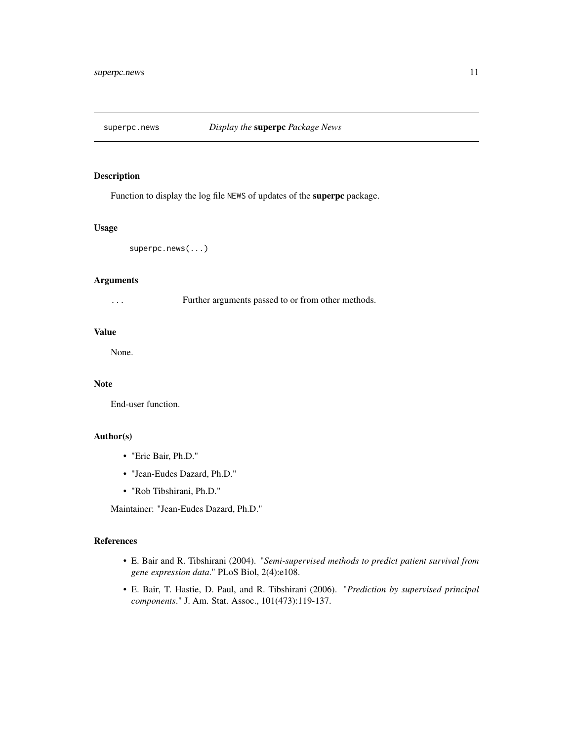<span id="page-10-0"></span>

#### Description

Function to display the log file NEWS of updates of the superpc package.

# Usage

superpc.news(...)

# Arguments

| Further arguments passed to or from other methods. |
|----------------------------------------------------|
|                                                    |

# Value

None.

# Note

End-user function.

#### Author(s)

- "Eric Bair, Ph.D."
- "Jean-Eudes Dazard, Ph.D."
- "Rob Tibshirani, Ph.D."

Maintainer: "Jean-Eudes Dazard, Ph.D."

# References

- E. Bair and R. Tibshirani (2004). "*Semi-supervised methods to predict patient survival from gene expression data*." PLoS Biol, 2(4):e108.
- E. Bair, T. Hastie, D. Paul, and R. Tibshirani (2006). "*Prediction by supervised principal components*." J. Am. Stat. Assoc., 101(473):119-137.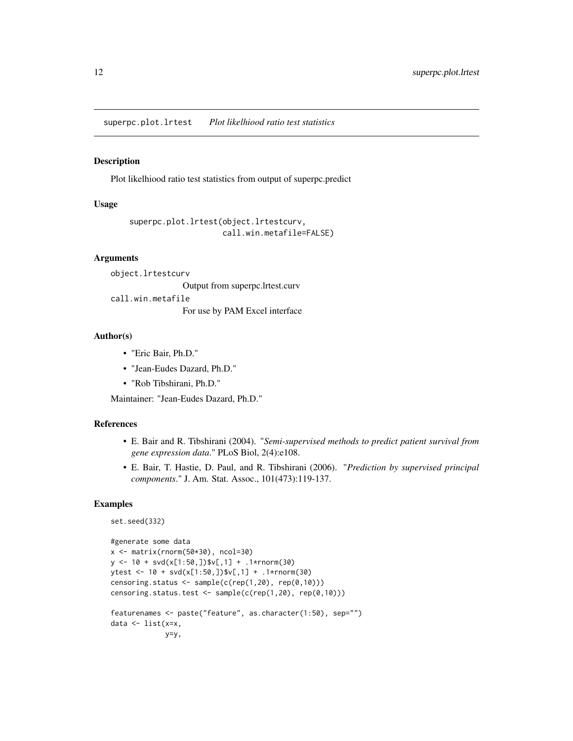<span id="page-11-0"></span>superpc.plot.lrtest *Plot likelhiood ratio test statistics*

## Description

Plot likelhiood ratio test statistics from output of superpc.predict

#### Usage

```
superpc.plot.lrtest(object.lrtestcurv,
                    call.win.metafile=FALSE)
```
#### Arguments

object.lrtestcurv

Output from superpc.lrtest.curv

call.win.metafile

For use by PAM Excel interface

#### Author(s)

- "Eric Bair, Ph.D."
- "Jean-Eudes Dazard, Ph.D."
- "Rob Tibshirani, Ph.D."

Maintainer: "Jean-Eudes Dazard, Ph.D."

### References

- E. Bair and R. Tibshirani (2004). "*Semi-supervised methods to predict patient survival from gene expression data*." PLoS Biol, 2(4):e108.
- E. Bair, T. Hastie, D. Paul, and R. Tibshirani (2006). "*Prediction by supervised principal components*." J. Am. Stat. Assoc., 101(473):119-137.

### Examples

set.seed(332)

```
#generate some data
x <- matrix(rnorm(50*30), ncol=30)
y <- 10 + svd(x[1:50,])$v[,1] + .1*rnorm(30)
ytest <- 10 + svd(x[1:50,])$v[,1] + .1*rnorm(30)
censoring.status <- sample(c(rep(1,20), rep(0,10)))
censoring.status.test <- sample(c(rep(1,20), rep(0,10)))
featurenames <- paste("feature", as.character(1:50), sep="")
data <- list(x=x,
             y=y,
```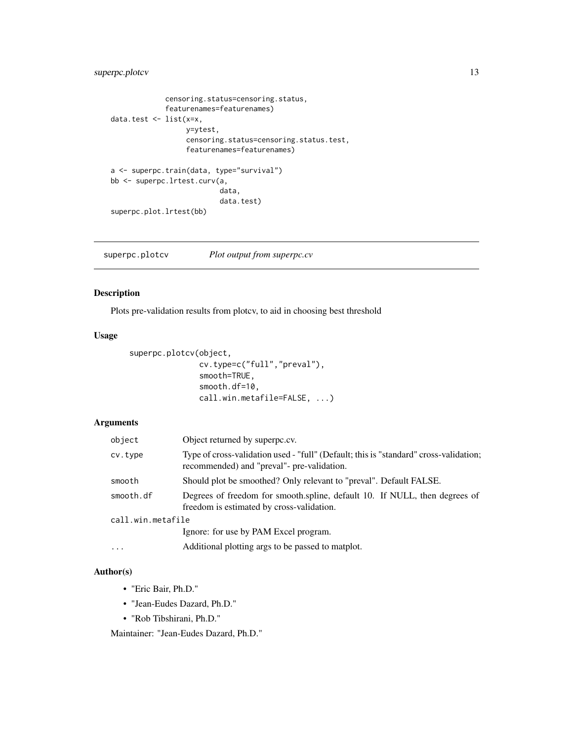# <span id="page-12-0"></span>superpc.plotcv 13

```
censoring.status=censoring.status,
             featurenames=featurenames)
data.test <- list(x=x,
                  y=ytest,
                  censoring.status=censoring.status.test,
                  featurenames=featurenames)
a <- superpc.train(data, type="survival")
bb <- superpc.lrtest.curv(a,
                          data,
                          data.test)
superpc.plot.lrtest(bb)
```
superpc.plotcv *Plot output from superpc.cv*

# Description

Plots pre-validation results from plotcv, to aid in choosing best threshold

# Usage

```
superpc.plotcv(object,
               cv.type=c("full","preval"),
               smooth=TRUE,
               smooth.df=10,
               call.win.metafile=FALSE, ...)
```
# Arguments

| object            | Object returned by superpc.cv.                                                                                                      |
|-------------------|-------------------------------------------------------------------------------------------------------------------------------------|
| cv.type           | Type of cross-validation used - "full" (Default; this is "standard" cross-validation;<br>recommended) and "preval"- pre-validation. |
| smooth            | Should plot be smoothed? Only relevant to "preval". Default FALSE.                                                                  |
| smooth.df         | Degrees of freedom for smooth.spline, default 10. If NULL, then degrees of<br>freedom is estimated by cross-validation.             |
| call.win.metafile |                                                                                                                                     |
|                   | Ignore: for use by PAM Excel program.                                                                                               |
| $\cdots$          | Additional plotting args to be passed to matplot.                                                                                   |

# Author(s)

- "Eric Bair, Ph.D."
- "Jean-Eudes Dazard, Ph.D."
- "Rob Tibshirani, Ph.D."

Maintainer: "Jean-Eudes Dazard, Ph.D."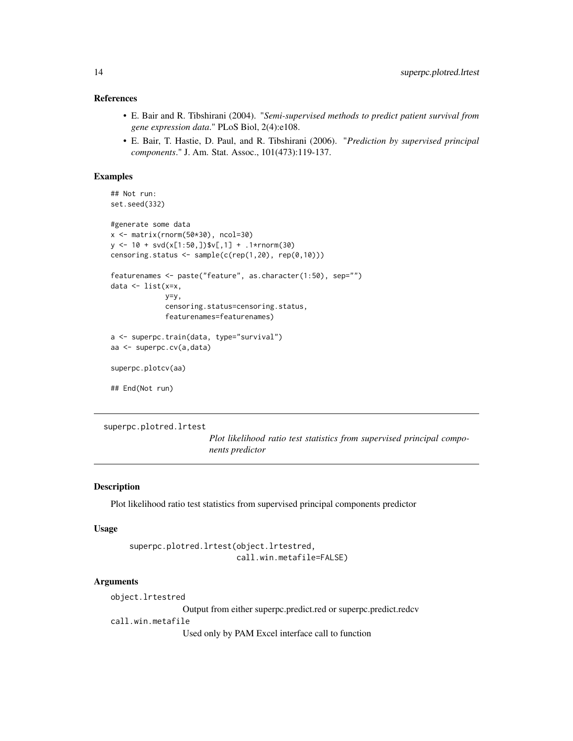# <span id="page-13-0"></span>References

- E. Bair and R. Tibshirani (2004). "*Semi-supervised methods to predict patient survival from gene expression data*." PLoS Biol, 2(4):e108.
- E. Bair, T. Hastie, D. Paul, and R. Tibshirani (2006). "*Prediction by supervised principal components*." J. Am. Stat. Assoc., 101(473):119-137.

#### Examples

```
## Not run:
set.seed(332)
#generate some data
x <- matrix(rnorm(50*30), ncol=30)
y <- 10 + svd(x[1:50,])$v[,1] + .1*rnorm(30)
censoring.status <- sample(c(rep(1,20), rep(0,10)))featurenames <- paste("feature", as.character(1:50), sep="")
data <- list(x=x,
             y=y,
             censoring.status=censoring.status,
             featurenames=featurenames)
a <- superpc.train(data, type="survival")
aa <- superpc.cv(a,data)
superpc.plotcv(aa)
## End(Not run)
```

```
superpc.plotred.lrtest
```
*Plot likelihood ratio test statistics from supervised principal components predictor*

#### Description

Plot likelihood ratio test statistics from supervised principal components predictor

#### Usage

```
superpc.plotred.lrtest(object.lrtestred,
                       call.win.metafile=FALSE)
```
# Arguments

object.lrtestred

Output from either superpc.predict.red or superpc.predict.redcv

call.win.metafile

Used only by PAM Excel interface call to function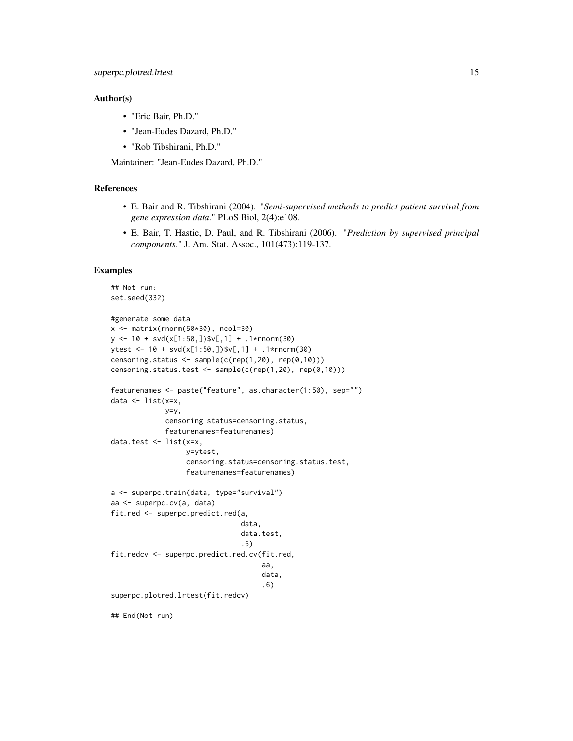#### Author(s)

- "Eric Bair, Ph.D."
- "Jean-Eudes Dazard, Ph.D."
- "Rob Tibshirani, Ph.D."

Maintainer: "Jean-Eudes Dazard, Ph.D."

# References

- E. Bair and R. Tibshirani (2004). "*Semi-supervised methods to predict patient survival from gene expression data*." PLoS Biol, 2(4):e108.
- E. Bair, T. Hastie, D. Paul, and R. Tibshirani (2006). "*Prediction by supervised principal components*." J. Am. Stat. Assoc., 101(473):119-137.

#### Examples

```
## Not run:
set.seed(332)
#generate some data
x <- matrix(rnorm(50*30), ncol=30)
y \le -10 + \text{svd}(x[1:50,])$v[,1] + .1*rnorm(30)
ytest <- 10 + svd(x[1:50,])$v[,1] + .1*rnorm(30)
censoring.status <- sample(c(rep(1,20), rep(0,10)))
censoring.status.test <- sample(c(rep(1,20), rep(0,10)))
featurenames <- paste("feature", as.character(1:50), sep="")
data <- list(x=x,
             y=y,
             censoring.status=censoring.status,
             featurenames=featurenames)
data.test <- list(x=x,
                  y=ytest,
                  censoring.status=censoring.status.test,
                  featurenames=featurenames)
a <- superpc.train(data, type="survival")
aa <- superpc.cv(a, data)
fit.red <- superpc.predict.red(a,
                                data,
                                data.test,
                                .6)
fit.redcv <- superpc.predict.red.cv(fit.red,
                                     aa,
                                     data,
                                     .6)
superpc.plotred.lrtest(fit.redcv)
## End(Not run)
```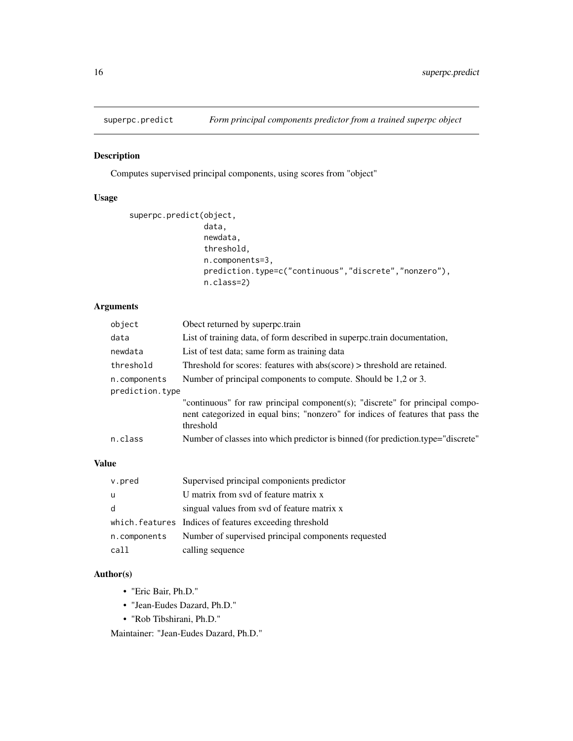<span id="page-15-0"></span>

# Description

Computes supervised principal components, using scores from "object"

# Usage

```
superpc.predict(object,
                data,
                newdata,
                threshold,
                n.components=3,
                prediction.type=c("continuous","discrete","nonzero"),
                n.class=2)
```
# Arguments

| object          | Obect returned by superpc.train                                                                                                                                              |
|-----------------|------------------------------------------------------------------------------------------------------------------------------------------------------------------------------|
| data            | List of training data, of form described in superpc.train documentation,                                                                                                     |
| newdata         | List of test data; same form as training data                                                                                                                                |
| threshold       | Threshold for scores: features with abs(score) > threshold are retained.                                                                                                     |
| n.components    | Number of principal components to compute. Should be 1.2 or 3.                                                                                                               |
| prediction.type |                                                                                                                                                                              |
|                 | "continuous" for raw principal component(s); "discrete" for principal compo-<br>nent categorized in equal bins; "nonzero" for indices of features that pass the<br>threshold |
| n.class         | Number of classes into which predictor is binned (for prediction.type="discrete"                                                                                             |

# Value

| v.pred       | Supervised principal componients predictor              |
|--------------|---------------------------------------------------------|
| -u           | U matrix from svd of feature matrix x                   |
| d            | singual values from svd of feature matrix x             |
|              | which. features Indices of features exceeding threshold |
| n.components | Number of supervised principal components requested     |
| call         | calling sequence                                        |

# Author(s)

- "Eric Bair, Ph.D."
- "Jean-Eudes Dazard, Ph.D."
- "Rob Tibshirani, Ph.D."

Maintainer: "Jean-Eudes Dazard, Ph.D."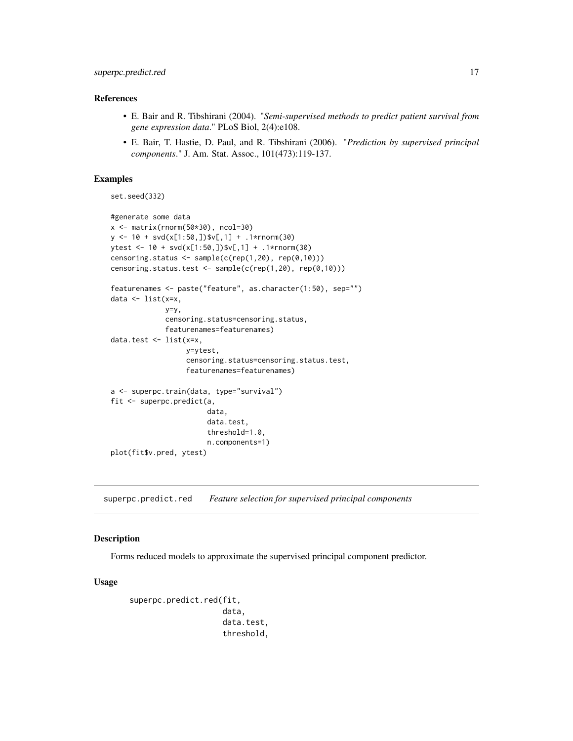# <span id="page-16-0"></span>References

- E. Bair and R. Tibshirani (2004). "*Semi-supervised methods to predict patient survival from gene expression data*." PLoS Biol, 2(4):e108.
- E. Bair, T. Hastie, D. Paul, and R. Tibshirani (2006). "*Prediction by supervised principal components*." J. Am. Stat. Assoc., 101(473):119-137.

#### Examples

set.seed(332)

```
#generate some data
x <- matrix(rnorm(50*30), ncol=30)
y <- 10 + svd(x[1:50,])$v[,1] + .1*rnorm(30)
ytest <- 10 + svd(x[1:50,])$v[,1] + .1*rnorm(30)
censoring.status <- sample(c(rep(1,20), rep(0,10)))
censoring.status.test <- sample(c(rep(1,20), rep(0,10)))
featurenames <- paste("feature", as.character(1:50), sep="")
data <- list(x=x,
             y=y,
             censoring.status=censoring.status,
             featurenames=featurenames)
data.test <- list(x=x,
                  y=ytest,
                  censoring.status=censoring.status.test,
                  featurenames=featurenames)
a <- superpc.train(data, type="survival")
fit <- superpc.predict(a,
                       data,
                       data.test,
                       threshold=1.0,
                       n.components=1)
plot(fit$v.pred, ytest)
```
superpc.predict.red *Feature selection for supervised principal components*

#### Description

Forms reduced models to approximate the supervised principal component predictor.

#### Usage

```
superpc.predict.red(fit,
                    data,
                    data.test,
                    threshold,
```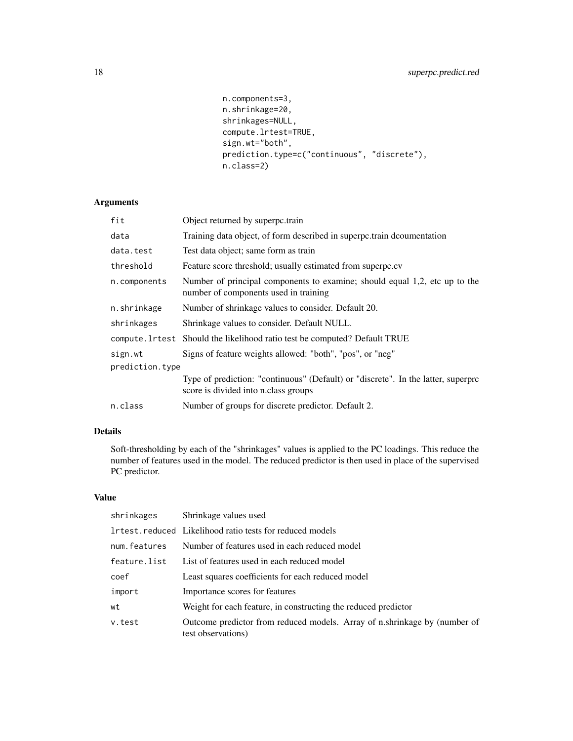```
n.components=3,
n.shrinkage=20,
shrinkages=NULL,
compute.lrtest=TRUE,
sign.wt="both",
prediction.type=c("continuous", "discrete"),
n.class=2)
```
# Arguments

| fit             | Object returned by superpc.train                                                                                          |
|-----------------|---------------------------------------------------------------------------------------------------------------------------|
| data            | Training data object, of form described in superportrain documentation                                                    |
| data.test       | Test data object; same form as train                                                                                      |
| threshold       | Feature score threshold; usually estimated from superpc.cv                                                                |
| n.components    | Number of principal components to examine; should equal 1,2, etc up to the<br>number of components used in training       |
| n.shrinkage     | Number of shrinkage values to consider. Default 20.                                                                       |
| shrinkages      | Shrinkage values to consider. Default NULL.                                                                               |
|                 | compute. 1 rtest Should the likelihood ratio test be computed? Default TRUE                                               |
| sign.wt         | Signs of feature weights allowed: "both", "pos", or "neg"                                                                 |
| prediction.type |                                                                                                                           |
|                 | Type of prediction: "continuous" (Default) or "discrete". In the latter, superpre<br>score is divided into n.class groups |
| n.class         | Number of groups for discrete predictor. Default 2.                                                                       |

# Details

Soft-thresholding by each of the "shrinkages" values is applied to the PC loadings. This reduce the number of features used in the model. The reduced predictor is then used in place of the supervised PC predictor.

# Value

| shrinkages   | Shrinkage values used                                                                           |
|--------------|-------------------------------------------------------------------------------------------------|
|              | <b>Intest.</b> reduced Likelihood ratio tests for reduced models                                |
| num.features | Number of features used in each reduced model                                                   |
| feature.list | List of features used in each reduced model                                                     |
| coef         | Least squares coefficients for each reduced model                                               |
| import       | Importance scores for features                                                                  |
| wt           | Weight for each feature, in constructing the reduced predictor                                  |
| v.test       | Outcome predictor from reduced models. Array of n.shrinkage by (number of<br>test observations) |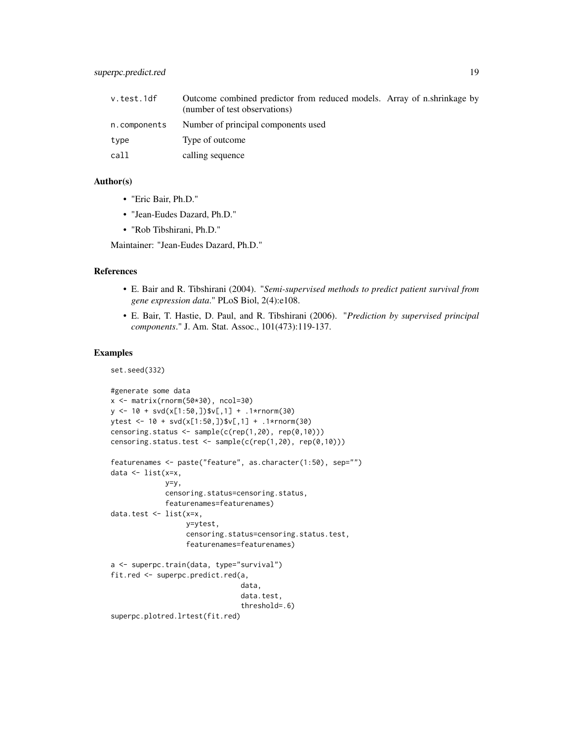| v.test.1df   | Outcome combined predictor from reduced models. Array of n.shrinkage by<br>(number of test observations) |  |
|--------------|----------------------------------------------------------------------------------------------------------|--|
| n.components | Number of principal components used                                                                      |  |
| type         | Type of outcome                                                                                          |  |
| call         | calling sequence                                                                                         |  |

# Author(s)

- "Eric Bair, Ph.D."
- "Jean-Eudes Dazard, Ph.D."
- "Rob Tibshirani, Ph.D."

Maintainer: "Jean-Eudes Dazard, Ph.D."

#### References

- E. Bair and R. Tibshirani (2004). "*Semi-supervised methods to predict patient survival from gene expression data*." PLoS Biol, 2(4):e108.
- E. Bair, T. Hastie, D. Paul, and R. Tibshirani (2006). "*Prediction by supervised principal components*." J. Am. Stat. Assoc., 101(473):119-137.

#### Examples

set.seed(332)

```
#generate some data
x <- matrix(rnorm(50*30), ncol=30)
y <- 10 + svd(x[1:50,])$v[,1] + .1*rnorm(30)
ytest <- 10 + svd(x[1:50,])$v[,1] + .1*rnorm(30)
censoring.status <- sample(c(rep(1,20), rep(0,10)))
censoring.status.test <- sample(c(rep(1,20), rep(0,10)))
featurenames <- paste("feature", as.character(1:50), sep="")
data \leq list(x=x,
             y=y,
             censoring.status=censoring.status,
             featurenames=featurenames)
data.test <- list(x=x,
                  y=ytest,
                  censoring.status=censoring.status.test,
                  featurenames=featurenames)
a <- superpc.train(data, type="survival")
fit.red <- superpc.predict.red(a,
                               data,
                               data.test,
                               threshold=.6)
superpc.plotred.lrtest(fit.red)
```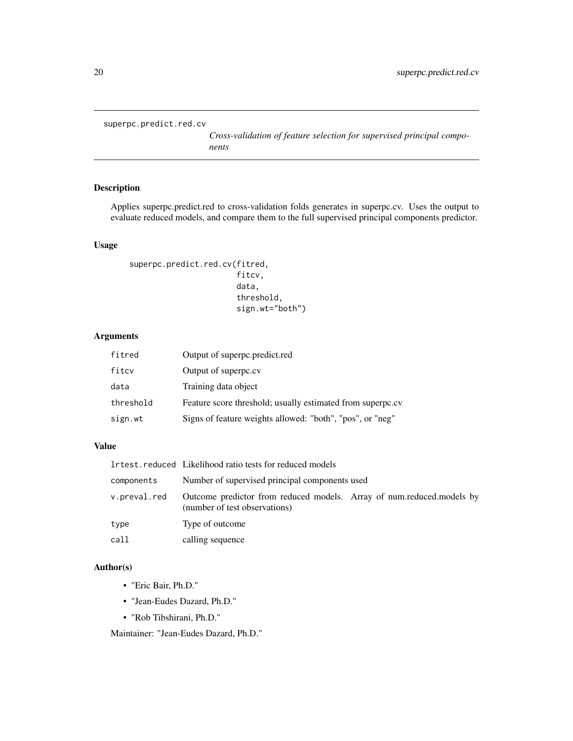<span id="page-19-0"></span>superpc.predict.red.cv

*Cross-validation of feature selection for supervised principal components*

# Description

Applies superpc.predict.red to cross-validation folds generates in superpc.cv. Uses the output to evaluate reduced models, and compare them to the full supervised principal components predictor.

# Usage

```
superpc.predict.red.cv(fitred,
                        fitcv,
                        data,
                        threshold,
                        sign.wt="both")
```
#### Arguments

| fitred    | Output of superpc.predict.red                              |
|-----------|------------------------------------------------------------|
| fitcy     | Output of superpc.cv                                       |
| data      | Training data object                                       |
| threshold | Feature score threshold; usually estimated from superpc.cv |
| sign.wt   | Signs of feature weights allowed: "both", "pos", or "neg"  |

#### Value

|              | Irtest.reduced Likelihood ratio tests for reduced models                                               |  |
|--------------|--------------------------------------------------------------------------------------------------------|--|
| components   | Number of supervised principal components used                                                         |  |
| v.preval.red | Outcome predictor from reduced models. Array of num.reduced.models by<br>(number of test observations) |  |
| type         | Type of outcome                                                                                        |  |
| call         | calling sequence                                                                                       |  |

# Author(s)

- "Eric Bair, Ph.D."
- "Jean-Eudes Dazard, Ph.D."
- "Rob Tibshirani, Ph.D."

Maintainer: "Jean-Eudes Dazard, Ph.D."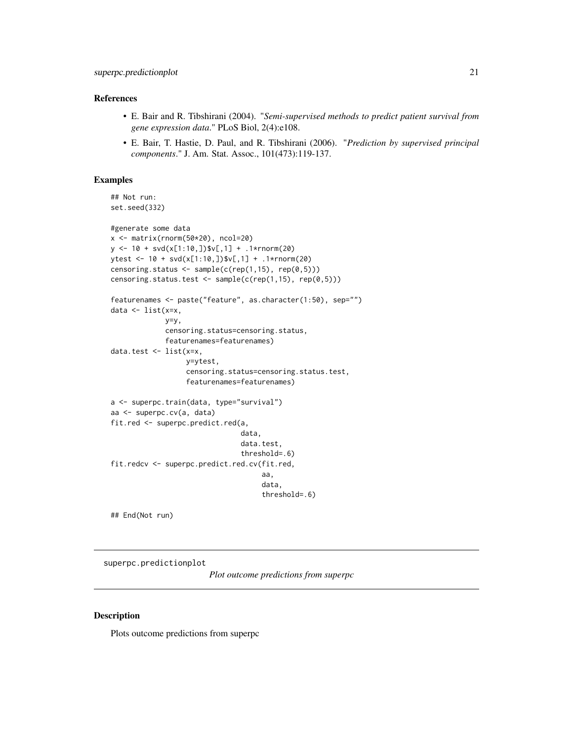#### <span id="page-20-0"></span>References

- E. Bair and R. Tibshirani (2004). "*Semi-supervised methods to predict patient survival from gene expression data*." PLoS Biol, 2(4):e108.
- E. Bair, T. Hastie, D. Paul, and R. Tibshirani (2006). "*Prediction by supervised principal components*." J. Am. Stat. Assoc., 101(473):119-137.

#### Examples

```
## Not run:
set.seed(332)
#generate some data
x <- matrix(rnorm(50*20), ncol=20)
y \le -10 + \text{svd}(x[1:10,])\V[, 1] + .1\*rnorm(20)ytest <- 10 + \text{svd}(x[1:10,])$v[,1] + .1*rnorm(20)
censoring.status \leq sample(c(rep(1,15), rep(0,5)))
censoring.status.test <- sample(c(rep(1,15), rep(0,5)))
featurenames <- paste("feature", as.character(1:50), sep="")
data \leq list(x=x,
             y=y,
             censoring.status=censoring.status,
             featurenames=featurenames)
data.test <- list(x=x,
                   y=ytest,
                   censoring.status=censoring.status.test,
                  featurenames=featurenames)
a <- superpc.train(data, type="survival")
aa <- superpc.cv(a, data)
fit.red <- superpc.predict.red(a,
                                data,
                                data.test,
                                threshold=.6)
fit.redcv <- superpc.predict.red.cv(fit.red,
                                      aa,
                                      data,
                                      threshold=.6)
```
## End(Not run)

superpc.predictionplot

*Plot outcome predictions from superpc*

#### Description

Plots outcome predictions from superpc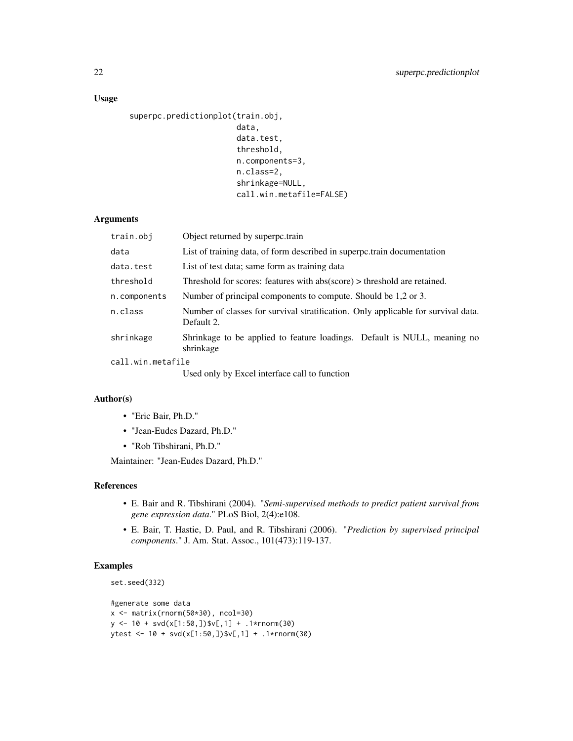# Usage

```
superpc.predictionplot(train.obj,
                        data,
                        data.test,
                        threshold,
                       n.components=3,
                        n.class=2,
                        shrinkage=NULL,
                        call.win.metafile=FALSE)
```
# Arguments

| train.obj         | Object returned by superpc.train                                                                |  |
|-------------------|-------------------------------------------------------------------------------------------------|--|
| data              | List of training data, of form described in superportrain documentation                         |  |
| data.test         | List of test data; same form as training data                                                   |  |
| threshold         | Threshold for scores: features with $abs(score) > threshold$ are retained.                      |  |
| n.components      | Number of principal components to compute. Should be 1,2 or 3.                                  |  |
| n.class           | Number of classes for survival stratification. Only applicable for survival data.<br>Default 2. |  |
| shrinkage         | Shrinkage to be applied to feature loadings. Default is NULL, meaning no<br>shrinkage           |  |
| call.win.metafile |                                                                                                 |  |
|                   | <b>II.</b> $1 - 1$ <b>I.</b> $P = 1$ , $P = 1$ , $P = 1$ , $P = 1$                              |  |

Used only by Excel interface call to function

# Author(s)

- "Eric Bair, Ph.D."
- "Jean-Eudes Dazard, Ph.D."
- "Rob Tibshirani, Ph.D."

Maintainer: "Jean-Eudes Dazard, Ph.D."

#### References

- E. Bair and R. Tibshirani (2004). "*Semi-supervised methods to predict patient survival from gene expression data*." PLoS Biol, 2(4):e108.
- E. Bair, T. Hastie, D. Paul, and R. Tibshirani (2006). "*Prediction by supervised principal components*." J. Am. Stat. Assoc., 101(473):119-137.

# Examples

```
set.seed(332)
```

```
#generate some data
x <- matrix(rnorm(50*30), ncol=30)
y \le -10 + \text{svd}(x[1:50,])$v[,1] + .1*rnorm(30)
ytest <- 10 + svd(x[1:50,])$v[,1] + .1*rnorm(30)
```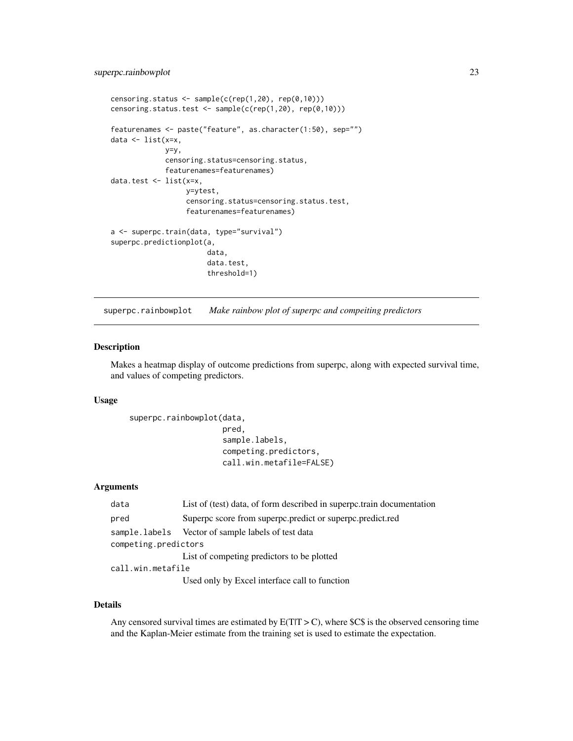```
censoring.status \leq sample(c(rep(1,20), rep(0,10)))
censoring.status.test <- sample(c(rep(1,20), rep(0,10)))
featurenames <- paste("feature", as.character(1:50), sep="")
data \leq list(x=x,
             y=y,
             censoring.status=censoring.status,
             featurenames=featurenames)
data.test <- list(x=x,
                  y=ytest,
                  censoring.status=censoring.status.test,
                  featurenames=featurenames)
a <- superpc.train(data, type="survival")
superpc.predictionplot(a,
                       data,
                       data.test,
                       threshold=1)
```
superpc.rainbowplot *Make rainbow plot of superpc and compeiting predictors*

#### Description

Makes a heatmap display of outcome predictions from superpc, along with expected survival time, and values of competing predictors.

### Usage

```
superpc.rainbowplot(data,
```

```
pred,
sample.labels,
competing.predictors,
call.win.metafile=FALSE)
```
#### Arguments

| data                 | List of (test) data, of form described in superportrain documentation |  |
|----------------------|-----------------------------------------------------------------------|--|
| pred                 | Superpc score from superpc.predict or superpc.predict.red             |  |
|                      | sample.labels Vector of sample labels of test data                    |  |
| competing.predictors |                                                                       |  |
|                      | List of competing predictors to be plotted                            |  |
| call.win.metafile    |                                                                       |  |
|                      | Used only by Excel interface call to function                         |  |

#### Details

Any censored survival times are estimated by  $E(T|T > C)$ , where \$C\$ is the observed censoring time and the Kaplan-Meier estimate from the training set is used to estimate the expectation.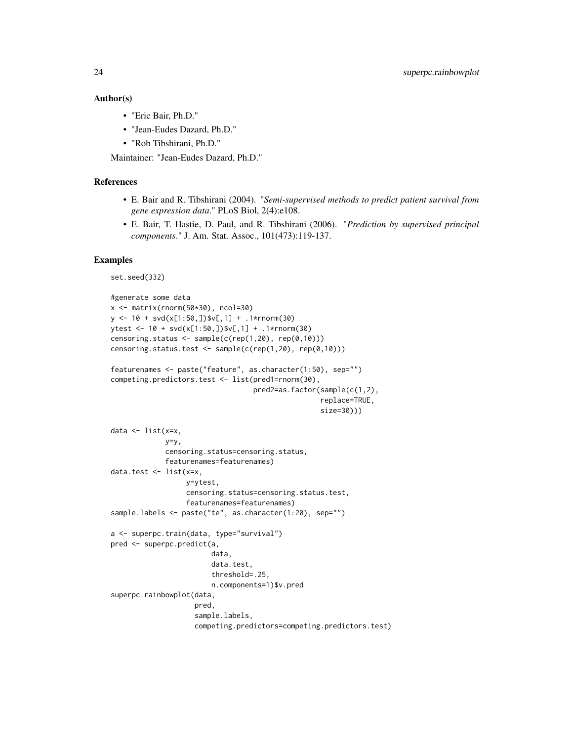#### Author(s)

- "Eric Bair, Ph.D."
- "Jean-Eudes Dazard, Ph.D."
- "Rob Tibshirani, Ph.D."

Maintainer: "Jean-Eudes Dazard, Ph.D."

#### References

- E. Bair and R. Tibshirani (2004). "*Semi-supervised methods to predict patient survival from gene expression data*." PLoS Biol, 2(4):e108.
- E. Bair, T. Hastie, D. Paul, and R. Tibshirani (2006). "*Prediction by supervised principal components*." J. Am. Stat. Assoc., 101(473):119-137.

#### Examples

```
set.seed(332)
```

```
#generate some data
x \le matrix(rnorm(50*30), ncol=30)
y \le -10 + \text{svd}(x[1:50,])$v[,1] + .1*rnorm(30)
ytest <- 10 + svd(x[1:50,])$v[,1] + .1*rnorm(30)
censoring.status \leq sample(c(rep(1,20), rep(0,10)))
censoring.status.test <- sample(c(rep(1,20), rep(0,10)))
featurenames <- paste("feature", as.character(1:50), sep="")
competing.predictors.test <- list(pred1=rnorm(30),
                                   pred2=as.factor(sample(c(1,2),
                                                   replace=TRUE,
                                                   size=30)))
data <- list(x=x,
             y=y,
             censoring.status=censoring.status,
             featurenames=featurenames)
data.test <- list(x=x,
                  y=ytest,
                  censoring.status=censoring.status.test,
                  featurenames=featurenames)
sample.labels <- paste("te", as.character(1:20), sep="")
a <- superpc.train(data, type="survival")
pred <- superpc.predict(a,
                        data,
                        data.test,
                        threshold=.25,
                        n.components=1)$v.pred
superpc.rainbowplot(data,
                    pred,
                    sample.labels,
                    competing.predictors=competing.predictors.test)
```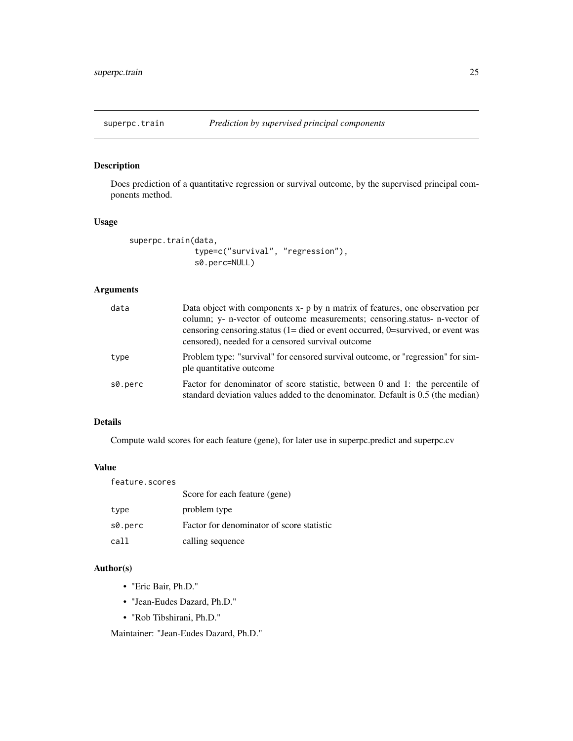<span id="page-24-0"></span>

# Description

Does prediction of a quantitative regression or survival outcome, by the supervised principal components method.

#### Usage

```
superpc.train(data,
              type=c("survival", "regression"),
              s0.perc=NULL)
```
# Arguments

| data    | Data object with components x- p by n matrix of features, one observation per<br>column; y- n-vector of outcome measurements; censoring.status- n-vector of<br>censoring censoring status $(1 = \text{died or event occurred}, 0 = \text{survived}, \text{or event was})$<br>censored), needed for a censored survival outcome |
|---------|--------------------------------------------------------------------------------------------------------------------------------------------------------------------------------------------------------------------------------------------------------------------------------------------------------------------------------|
| type    | Problem type: "survival" for censored survival outcome, or "regression" for sim-<br>ple quantitative outcome                                                                                                                                                                                                                   |
| s0.perc | Factor for denominator of score statistic, between 0 and 1: the percentile of<br>standard deviation values added to the denominator. Default is 0.5 (the median)                                                                                                                                                               |

# Details

Compute wald scores for each feature (gene), for later use in superpc.predict and superpc.cv

#### Value

| feature.scores |                                           |
|----------------|-------------------------------------------|
|                | Score for each feature (gene)             |
| type           | problem type                              |
| s0.perc        | Factor for denominator of score statistic |
| call           | calling sequence                          |

# Author(s)

- "Eric Bair, Ph.D."
- "Jean-Eudes Dazard, Ph.D."
- "Rob Tibshirani, Ph.D."

Maintainer: "Jean-Eudes Dazard, Ph.D."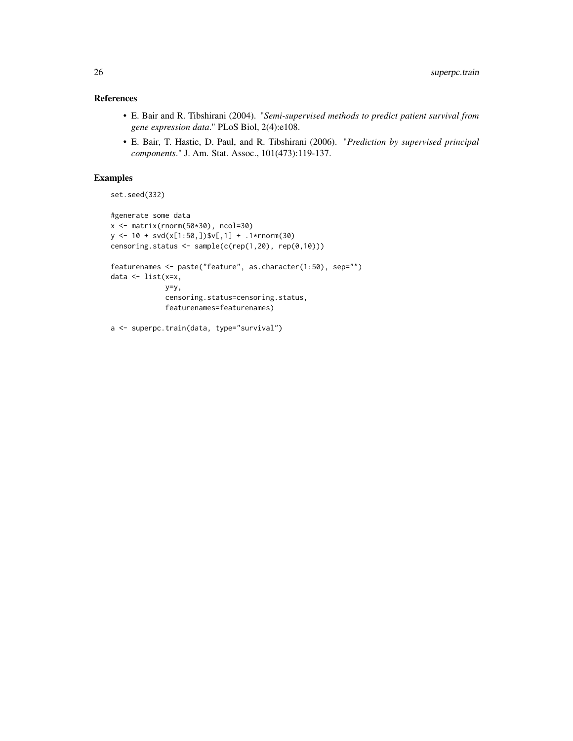# References

- E. Bair and R. Tibshirani (2004). "*Semi-supervised methods to predict patient survival from gene expression data*." PLoS Biol, 2(4):e108.
- E. Bair, T. Hastie, D. Paul, and R. Tibshirani (2006). "*Prediction by supervised principal components*." J. Am. Stat. Assoc., 101(473):119-137.

#### Examples

```
set.seed(332)
```

```
#generate some data
x <- matrix(rnorm(50*30), ncol=30)
y <- 10 + svd(x[1:50,])$v[,1] + .1*rnorm(30)
censoring.status <- sample(c(rep(1,20), rep(0,10)))
featurenames <- paste("feature", as.character(1:50), sep="")
data <- list(x=x,
            y=y,
            censoring.status=censoring.status,
             featurenames=featurenames)
a <- superpc.train(data, type="survival")
```